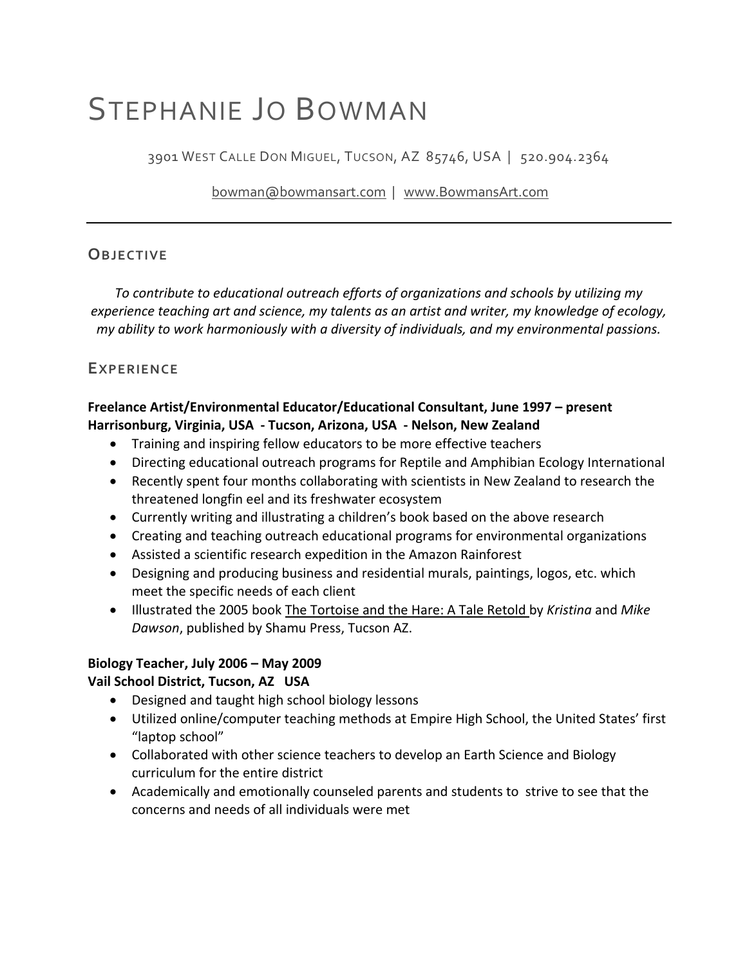# STEPHANIE JO BOWMAN

3901 WEST CALLE DON MIGUEL, TUCSON, AZ 85746, USA | 520.904.2364

bowman@bowmansart.com | www.BowmansArt.com

# **OBJECTIVE**

*To contribute to educational outreach efforts of organizations and schools by utilizing my experience teaching art and science, my talents as an artist and writer, my knowledge of ecology, my ability to work harmoniously with a diversity of individuals, and my environmental passions.*

# **EXPERIENCE**

### **Freelance Artist/Environmental Educator/Educational Consultant, June 1997 – present Harrisonburg, Virginia, USA ‐ Tucson, Arizona, USA ‐ Nelson, New Zealand**

- Training and inspiring fellow educators to be more effective teachers
- Directing educational outreach programs for Reptile and Amphibian Ecology International
- Recently spent four months collaborating with scientists in New Zealand to research the threatened longfin eel and its freshwater ecosystem
- Currently writing and illustrating a children's book based on the above research
- Creating and teaching outreach educational programs for environmental organizations
- Assisted a scientific research expedition in the Amazon Rainforest
- Designing and producing business and residential murals, paintings, logos, etc. which meet the specific needs of each client
- Illustrated the 2005 book The Tortoise and the Hare: A Tale Retold by *Kristina* and *Mike Dawson*, published by Shamu Press, Tucson AZ.

# **Biology Teacher, July 2006 – May 2009**

#### **Vail School District, Tucson, AZ USA**

- Designed and taught high school biology lessons
- Utilized online/computer teaching methods at Empire High School, the United States' first "laptop school"
- Collaborated with other science teachers to develop an Earth Science and Biology curriculum for the entire district
- Academically and emotionally counseled parents and students to strive to see that the concerns and needs of all individuals were met